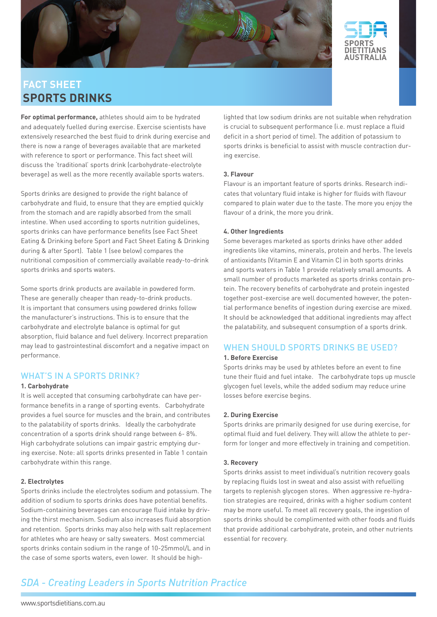



# **fact sheet sports drinks**

**For optimal performance,** athletes should aim to be hydrated and adequately fuelled during exercise. Exercise scientists have extensively researched the best fluid to drink during exercise and there is now a range of beverages available that are marketed with reference to sport or performance. This fact sheet will discuss the 'traditional' sports drink (carbohydrate-electrolyte beverage) as well as the more recently available sports waters.

Sports drinks are designed to provide the right balance of carbohydrate and fluid, to ensure that they are emptied quickly from the stomach and are rapidly absorbed from the small intestine. When used according to sports nutrition guidelines, sports drinks can have performance benefits (see Fact Sheet Eating & Drinking before Sport and Fact Sheet Eating & Drinking during & after Sport). Table 1 (see below) compares the nutritional composition of commercially available ready-to-drink sports drinks and sports waters.

Some sports drink products are available in powdered form. These are generally cheaper than ready-to-drink products. It is important that consumers using powdered drinks follow the manufacturer's instructions. This is to ensure that the carbohydrate and electrolyte balance is optimal for gut absorption, fluid balance and fuel delivery. Incorrect preparation may lead to gastrointestinal discomfort and a negative impact on performance.

## WHAT'S IN A SPORTS DRINK?

### **1. Carbohydrate**

It is well accepted that consuming carbohydrate can have performance benefits in a range of sporting events. Carbohydrate provides a fuel source for muscles and the brain, and contributes to the palatability of sports drinks. Ideally the carbohydrate concentration of a sports drink should range between 6- 8%. High carbohydrate solutions can impair gastric emptying during exercise. Note: all sports drinks presented in Table 1 contain carbohydrate within this range.

### **2. Electrolytes**

Sports drinks include the electrolytes sodium and potassium. The addition of sodium to sports drinks does have potential benefits. Sodium-containing beverages can encourage fluid intake by driving the thirst mechanism. Sodium also increases fluid absorption and retention. Sports drinks may also help with salt replacement for athletes who are heavy or salty sweaters. Most commercial sports drinks contain sodium in the range of 10-25mmol/L and in the case of some sports waters, even lower. It should be highlighted that low sodium drinks are not suitable when rehydration is crucial to subsequent performance (i.e. must replace a fluid deficit in a short period of time). The addition of potassium to sports drinks is beneficial to assist with muscle contraction during exercise.

#### **3. Flavour**

Flavour is an important feature of sports drinks. Research indicates that voluntary fluid intake is higher for fluids with flavour compared to plain water due to the taste. The more you enjoy the flavour of a drink, the more you drink.

#### **4. Other Ingredients**

Some beverages marketed as sports drinks have other added ingredients like vitamins, minerals, protein and herbs. The levels of antioxidants (Vitamin E and Vitamin C) in both sports drinks and sports waters in Table 1 provide relatively small amounts. A small number of products marketed as sports drinks contain protein. The recovery benefits of carbohydrate and protein ingested together post-exercise are well documented however, the potential performance benefits of ingestion during exercise are mixed. It should be acknowledged that additional ingredients may affect the palatability, and subsequent consumption of a sports drink.

## WHEN SHOULD SPORTS DRINKS BE USED?

#### **1. Before Exercise**

Sports drinks may be used by athletes before an event to fine tune their fluid and fuel intake. The carbohydrate tops up muscle glycogen fuel levels, while the added sodium may reduce urine losses before exercise begins.

#### **2. During Exercise**

Sports drinks are primarily designed for use during exercise, for optimal fluid and fuel delivery. They will allow the athlete to perform for longer and more effectively in training and competition.

#### **3. Recovery**

Sports drinks assist to meet individual's nutrition recovery goals by replacing fluids lost in sweat and also assist with refuelling targets to replenish glycogen stores. When aggressive re-hydration strategies are required, drinks with a higher sodium content may be more useful. To meet all recovery goals, the ingestion of sports drinks should be complimented with other foods and fluids that provide additional carbohydrate, protein, and other nutrients essential for recovery.

# **SDA - Creating Leaders in Sports Nutrition Practice**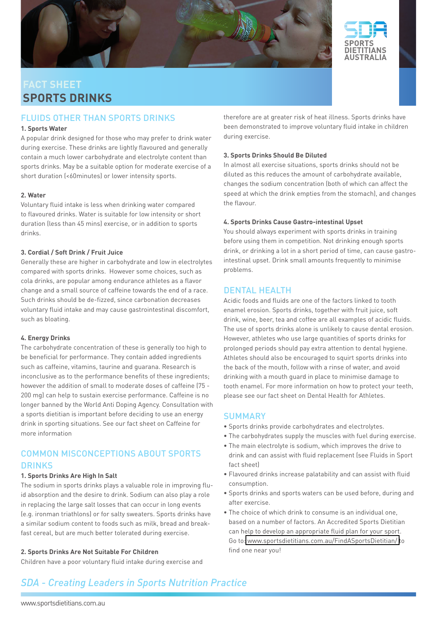



# **fact sheet sports drinks**

## Fluids other than sports drinks

### **1. Sports Water**

A popular drink designed for those who may prefer to drink water during exercise. These drinks are lightly flavoured and generally contain a much lower carbohydrate and electrolyte content than sports drinks. May be a suitable option for moderate exercise of a short duration (<60minutes) or lower intensity sports.

#### **2. Water**

Voluntary fluid intake is less when drinking water compared to flavoured drinks. Water is suitable for low intensity or short duration (less than 45 mins) exercise, or in addition to sports drinks.

#### **3. Cordial / Soft Drink / Fruit Juice**

Generally these are higher in carbohydrate and low in electrolytes compared with sports drinks. However some choices, such as cola drinks, are popular among endurance athletes as a flavor change and a small source of caffeine towards the end of a race. Such drinks should be de-fizzed, since carbonation decreases voluntary fluid intake and may cause gastrointestinal discomfort, such as bloating.

### **4. Energy Drinks**

The carbohydrate concentration of these is generally too high to be beneficial for performance. They contain added ingredients such as caffeine, vitamins, taurine and guarana. Research is inconclusive as to the performance benefits of these ingredients; however the addition of small to moderate doses of caffeine (75 - 200 mg) can help to sustain exercise performance. Caffeine is no longer banned by the World Anti Doping Agency. Consultation with a sports dietitian is important before deciding to use an energy drink in sporting situations. See our fact sheet on Caffeine for more information

# Common Misconceptions about Sports **DRINKS**

#### **1. Sports Drinks Are High In Salt**

The sodium in sports drinks plays a valuable role in improving fluid absorption and the desire to drink. Sodium can also play a role in replacing the large salt losses that can occur in long events (e.g. ironman triathlons) or for salty sweaters. Sports drinks have a similar sodium content to foods such as milk, bread and breakfast cereal, but are much better tolerated during exercise.

#### **2. Sports Drinks Are Not Suitable For Children**

Children have a poor voluntary fluid intake during exercise and

therefore are at greater risk of heat illness. Sports drinks have been demonstrated to improve voluntary fluid intake in children during exercise.

### **3. Sports Drinks Should Be Diluted**

In almost all exercise situations, sports drinks should not be diluted as this reduces the amount of carbohydrate available, changes the sodium concentration (both of which can affect the speed at which the drink empties from the stomach), and changes the flavour.

#### **4. Sports Drinks Cause Gastro-intestinal Upset**

You should always experiment with sports drinks in training before using them in competition. Not drinking enough sports drink, or drinking a lot in a short period of time, can cause gastrointestinal upset. Drink small amounts frequently to minimise problems.

### Dental health

Acidic foods and fluids are one of the factors linked to tooth enamel erosion. Sports drinks, together with fruit juice, soft drink, wine, beer, tea and coffee are all examples of acidic fluids. The use of sports drinks alone is unlikely to cause dental erosion. However, athletes who use large quantities of sports drinks for prolonged periods should pay extra attention to dental hygiene. Athletes should also be encouraged to squirt sports drinks into the back of the mouth, follow with a rinse of water, and avoid drinking with a mouth guard in place to minimise damage to tooth enamel. For more information on how to protect your teeth, please see our fact sheet on Dental Health for Athletes.

## **SUMMARY**

- Sports drinks provide carbohydrates and electrolytes.
- The carbohydrates supply the muscles with fuel during exercise.
- The main electrolyte is sodium, which improves the drive to drink and can assist with fluid replacement (see Fluids in Sport fact sheet)
- Flavoured drinks increase palatability and can assist with fluid consumption.
- Sports drinks and sports waters can be used before, during and after exercise.
- The choice of which drink to consume is an individual one, based on a number of factors. An Accredited Sports Dietitian can help to develop an appropriate fluid plan for your sport. Go to[: www.sportsdietitians.com.au/FindASportsDietitian/ t](http://www.sportsdietitians.com.au/FindASportsDietitian/)o find one near you!

# **SDA - Creating Leaders in Sports Nutrition Practice**